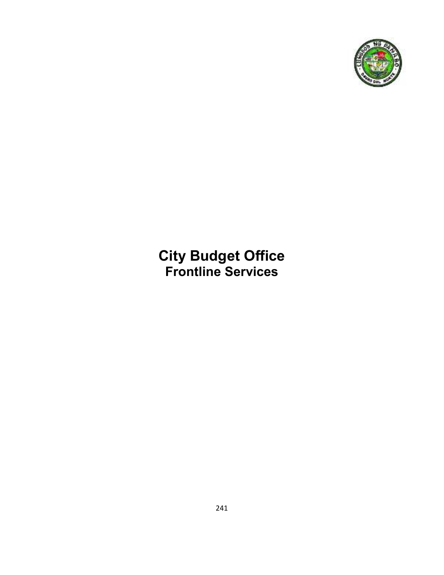

## **City Budget Office Frontline Services**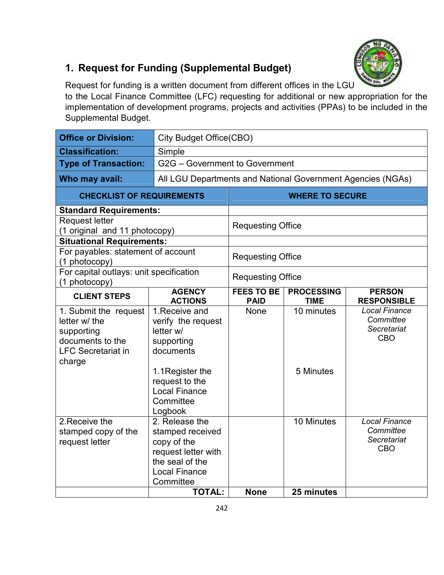# $0H$

### **1. Request for Funding (Supplemental Budget)**

Request for funding is a written document from different offices in the LGU to the Local Finance Committee (LFC) requesting for additional or new appropriation for the implementation of development programs, projects and activities (PPAs) to be included in the Supplemental Budget.

| <b>Office or Division:</b>                                                                                      |                                                                                                                                  | City Budget Office(CBO)                                     |                                  |                                                                |  |
|-----------------------------------------------------------------------------------------------------------------|----------------------------------------------------------------------------------------------------------------------------------|-------------------------------------------------------------|----------------------------------|----------------------------------------------------------------|--|
| <b>Classification:</b>                                                                                          | Simple                                                                                                                           |                                                             |                                  |                                                                |  |
| <b>Type of Transaction:</b>                                                                                     | G2G - Government to Government                                                                                                   |                                                             |                                  |                                                                |  |
| Who may avail:                                                                                                  |                                                                                                                                  | All LGU Departments and National Government Agencies (NGAs) |                                  |                                                                |  |
| <b>CHECKLIST OF REQUIREMENTS</b>                                                                                |                                                                                                                                  |                                                             | <b>WHERE TO SECURE</b>           |                                                                |  |
| <b>Standard Requirements:</b>                                                                                   |                                                                                                                                  |                                                             |                                  |                                                                |  |
| <b>Request letter</b><br>(1 original and 11 photocopy)                                                          |                                                                                                                                  | <b>Requesting Office</b>                                    |                                  |                                                                |  |
| <b>Situational Requirements:</b>                                                                                |                                                                                                                                  |                                                             |                                  |                                                                |  |
| For payables: statement of account<br>(1 photocopy)                                                             |                                                                                                                                  | <b>Requesting Office</b>                                    |                                  |                                                                |  |
| (1 photocopy)                                                                                                   | For capital outlays: unit specification                                                                                          |                                                             | <b>Requesting Office</b>         |                                                                |  |
| <b>CLIENT STEPS</b>                                                                                             | <b>AGENCY</b><br><b>ACTIONS</b>                                                                                                  | <b>FEES TO BE</b><br><b>PAID</b>                            | <b>PROCESSING</b><br><b>TIME</b> | <b>PERSON</b><br><b>RESPONSIBLE</b>                            |  |
| 1. Submit the request<br>letter w/ the<br>supporting<br>documents to the<br><b>LFC Secretariat in</b><br>charge | 1. Receive and<br>verify the request<br>letter w/<br>supporting<br>documents<br>1.1 Register the<br>request to the               | None                                                        | 10 minutes<br>5 Minutes          | <b>Local Finance</b><br>Committee<br>Secretariat<br><b>CBO</b> |  |
|                                                                                                                 | <b>Local Finance</b><br>Committee<br>Logbook                                                                                     |                                                             |                                  |                                                                |  |
| 2. Receive the<br>stamped copy of the<br>request letter                                                         | 2. Release the<br>stamped received<br>copy of the<br>request letter with<br>the seal of the<br><b>Local Finance</b><br>Committee |                                                             | 10 Minutes                       | <b>Local Finance</b><br>Committee<br>Secretariat<br><b>CBO</b> |  |
|                                                                                                                 | <b>TOTAL:</b>                                                                                                                    | <b>None</b>                                                 | 25 minutes                       |                                                                |  |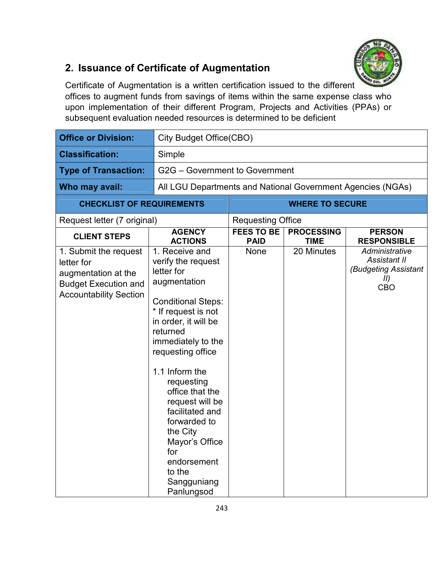

#### **2. Issuance of Certificate of Augmentation**

Certificate of Augmentation is a written certification issued to the different offices to augment funds from savings of items within the same expense class who upon implementation of their different Program, Projects and Activities (PPAs) or subsequent evaluation needed resources is determined to be deficient

| <b>Office or Division:</b>                                                                                                 |                                                                                                                                                                                                                                                                                                                                                                                                           | <b>City Budget Office(CBO)</b>   |                                  |                                                                             |  |
|----------------------------------------------------------------------------------------------------------------------------|-----------------------------------------------------------------------------------------------------------------------------------------------------------------------------------------------------------------------------------------------------------------------------------------------------------------------------------------------------------------------------------------------------------|----------------------------------|----------------------------------|-----------------------------------------------------------------------------|--|
| <b>Classification:</b>                                                                                                     | Simple                                                                                                                                                                                                                                                                                                                                                                                                    |                                  |                                  |                                                                             |  |
| <b>Type of Transaction:</b>                                                                                                | G2G - Government to Government                                                                                                                                                                                                                                                                                                                                                                            |                                  |                                  |                                                                             |  |
| Who may avail:                                                                                                             | All LGU Departments and National Government Agencies (NGAs)                                                                                                                                                                                                                                                                                                                                               |                                  |                                  |                                                                             |  |
| <b>CHECKLIST OF REQUIREMENTS</b>                                                                                           |                                                                                                                                                                                                                                                                                                                                                                                                           |                                  | <b>WHERE TO SECURE</b>           |                                                                             |  |
| Request letter (7 original)                                                                                                |                                                                                                                                                                                                                                                                                                                                                                                                           | <b>Requesting Office</b>         |                                  |                                                                             |  |
| <b>CLIENT STEPS</b>                                                                                                        | <b>AGENCY</b><br><b>ACTIONS</b>                                                                                                                                                                                                                                                                                                                                                                           | <b>FEES TO BE</b><br><b>PAID</b> | <b>PROCESSING</b><br><b>TIME</b> | <b>PERSON</b><br><b>RESPONSIBLE</b>                                         |  |
| 1. Submit the request<br>letter for<br>augmentation at the<br><b>Budget Execution and</b><br><b>Accountability Section</b> | 1. Receive and<br>verify the request<br>letter for<br>augmentation<br><b>Conditional Steps:</b><br>* If request is not<br>in order, it will be<br>returned<br>immediately to the<br>requesting office<br>1.1 Inform the<br>requesting<br>office that the<br>request will be<br>facilitated and<br>forwarded to<br>the City<br>Mayor's Office<br>for<br>endorsement<br>to the<br>Sangguniang<br>Panlungsod | None                             | 20 Minutes                       | Administrative<br><b>Assistant II</b><br>(Budgeting Assistant<br>II)<br>CBO |  |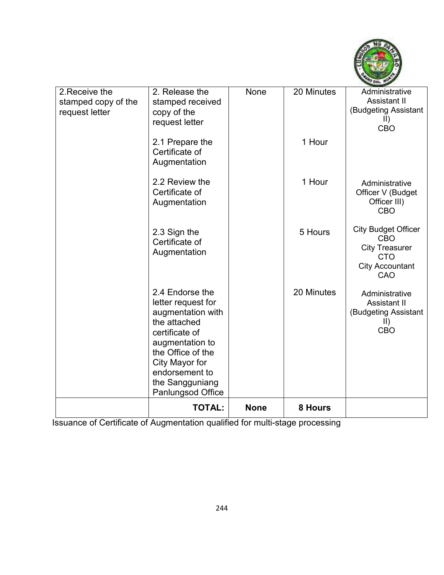

| 2. Receive the<br>stamped copy of the<br>request letter | 2. Release the<br>stamped received<br>copy of the<br>request letter                                                                                                                                              | None        | 20 Minutes | Administrative<br>Assistant II<br>(Budgeting Assistant<br>$\parallel$                                            |
|---------------------------------------------------------|------------------------------------------------------------------------------------------------------------------------------------------------------------------------------------------------------------------|-------------|------------|------------------------------------------------------------------------------------------------------------------|
|                                                         |                                                                                                                                                                                                                  |             |            | <b>CBO</b>                                                                                                       |
|                                                         | 2.1 Prepare the<br>Certificate of<br>Augmentation                                                                                                                                                                |             | 1 Hour     |                                                                                                                  |
|                                                         | 2.2 Review the<br>Certificate of<br>Augmentation                                                                                                                                                                 |             | 1 Hour     | Administrative<br>Officer V (Budget<br>Officer III)<br><b>CBO</b>                                                |
|                                                         | 2.3 Sign the<br>Certificate of<br>Augmentation                                                                                                                                                                   |             | 5 Hours    | <b>City Budget Officer</b><br><b>CBO</b><br><b>City Treasurer</b><br><b>CTO</b><br><b>City Accountant</b><br>CAO |
|                                                         | 2.4 Endorse the<br>letter request for<br>augmentation with<br>the attached<br>certificate of<br>augmentation to<br>the Office of the<br>City Mayor for<br>endorsement to<br>the Sangguniang<br>Panlungsod Office |             | 20 Minutes | Administrative<br><b>Assistant II</b><br>(Budgeting Assistant<br>$\parallel$<br><b>CBO</b>                       |
|                                                         | <b>TOTAL:</b>                                                                                                                                                                                                    | <b>None</b> | 8 Hours    |                                                                                                                  |

Issuance of Certificate of Augmentation qualified for multi-stage processing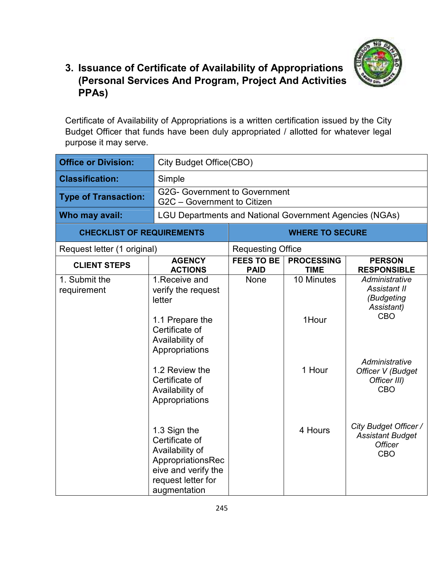

#### **3. Issuance of Certificate of Availability of Appropriations (Personal Services And Program, Project And Activities PPAs)**

Certificate of Availability of Appropriations is a written certification issued by the City Budget Officer that funds have been duly appropriated / allotted for whatever legal purpose it may serve.

| <b>Office or Division:</b>       | <b>City Budget Office(CBO)</b>                                                                                                                                                                    |                                  |                                  |                                                                                                                                               |
|----------------------------------|---------------------------------------------------------------------------------------------------------------------------------------------------------------------------------------------------|----------------------------------|----------------------------------|-----------------------------------------------------------------------------------------------------------------------------------------------|
| <b>Classification:</b>           | Simple                                                                                                                                                                                            |                                  |                                  |                                                                                                                                               |
| <b>Type of Transaction:</b>      | <b>G2G- Government to Government</b><br>G2C - Government to Citizen                                                                                                                               |                                  |                                  |                                                                                                                                               |
| Who may avail:                   | <b>LGU Departments and National Government Agencies (NGAs)</b>                                                                                                                                    |                                  |                                  |                                                                                                                                               |
| <b>CHECKLIST OF REQUIREMENTS</b> |                                                                                                                                                                                                   |                                  | <b>WHERE TO SECURE</b>           |                                                                                                                                               |
| Request letter (1 original)      |                                                                                                                                                                                                   | <b>Requesting Office</b>         |                                  |                                                                                                                                               |
| <b>CLIENT STEPS</b>              | <b>AGENCY</b><br><b>ACTIONS</b>                                                                                                                                                                   | <b>FEES TO BE</b><br><b>PAID</b> | <b>PROCESSING</b><br><b>TIME</b> | <b>PERSON</b><br><b>RESPONSIBLE</b>                                                                                                           |
| 1. Submit the<br>requirement     | 1. Receive and<br>verify the request<br>letter<br>1.1 Prepare the<br>Certificate of<br>Availability of<br>Appropriations<br>1.2 Review the<br>Certificate of<br>Availability of<br>Appropriations | None                             | 10 Minutes<br>1Hour<br>1 Hour    | Administrative<br>Assistant II<br>(Budgeting<br>Assistant)<br><b>CBO</b><br>Administrative<br>Officer V (Budget<br>Officer III)<br><b>CBO</b> |
|                                  | 1.3 Sign the<br>Certificate of<br>Availability of<br>AppropriationsRec<br>eive and verify the<br>request letter for<br>augmentation                                                               |                                  | 4 Hours                          | City Budget Officer /<br><b>Assistant Budget</b><br><b>Officer</b><br><b>CBO</b>                                                              |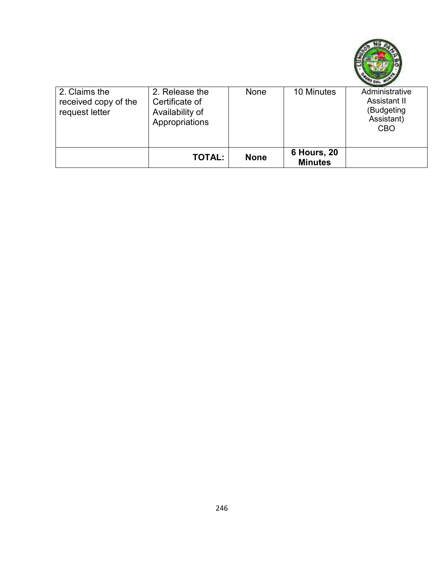

| 2. Claims the<br>received copy of the<br>request letter | 2. Release the<br>Certificate of<br>Availability of<br>Appropriations | None        | 10 Minutes                           | Administrative<br>Assistant II<br>(Budgeting<br>Assistant)<br><b>CBO</b> |
|---------------------------------------------------------|-----------------------------------------------------------------------|-------------|--------------------------------------|--------------------------------------------------------------------------|
|                                                         | <b>TOTAL:</b>                                                         | <b>None</b> | <b>6 Hours, 20</b><br><b>Minutes</b> |                                                                          |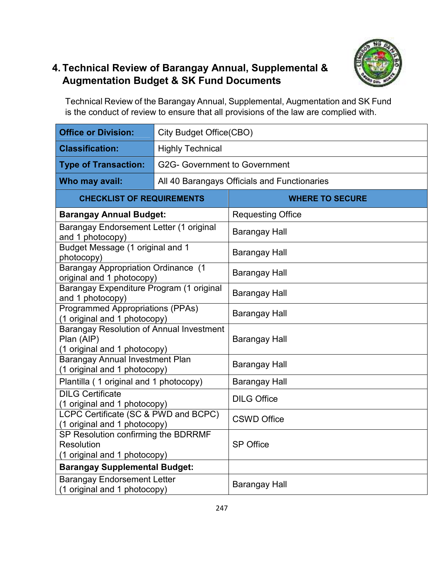#### **4. Technical Review of Barangay Annual, Supplemental & Augmentation Budget & SK Fund Documents**



Technical Review of the Barangay Annual, Supplemental, Augmentation and SK Fund is the conduct of review to ensure that all provisions of the law are complied with.

| <b>Office or Division:</b>                                                                    | <b>City Budget Office(CBO)</b>       |                                              |  |  |
|-----------------------------------------------------------------------------------------------|--------------------------------------|----------------------------------------------|--|--|
| <b>Classification:</b>                                                                        | <b>Highly Technical</b>              |                                              |  |  |
| <b>Type of Transaction:</b>                                                                   | <b>G2G- Government to Government</b> |                                              |  |  |
| Who may avail:                                                                                |                                      | All 40 Barangays Officials and Functionaries |  |  |
| <b>CHECKLIST OF REQUIREMENTS</b>                                                              |                                      | <b>WHERE TO SECURE</b>                       |  |  |
| <b>Barangay Annual Budget:</b>                                                                |                                      | <b>Requesting Office</b>                     |  |  |
| Barangay Endorsement Letter (1 original<br>and 1 photocopy)                                   |                                      | <b>Barangay Hall</b>                         |  |  |
| Budget Message (1 original and 1<br>photocopy)                                                |                                      | <b>Barangay Hall</b>                         |  |  |
| <b>Barangay Appropriation Ordinance (1</b><br>original and 1 photocopy)                       |                                      | <b>Barangay Hall</b>                         |  |  |
| Barangay Expenditure Program (1 original<br>and 1 photocopy)                                  |                                      | <b>Barangay Hall</b>                         |  |  |
| <b>Programmed Appropriations (PPAs)</b><br>(1 original and 1 photocopy)                       |                                      | <b>Barangay Hall</b>                         |  |  |
| <b>Barangay Resolution of Annual Investment</b><br>Plan (AIP)<br>(1 original and 1 photocopy) |                                      | <b>Barangay Hall</b>                         |  |  |
| <b>Barangay Annual Investment Plan</b><br>(1 original and 1 photocopy)                        |                                      | <b>Barangay Hall</b>                         |  |  |
| Plantilla (1 original and 1 photocopy)                                                        |                                      | <b>Barangay Hall</b>                         |  |  |
| <b>DILG Certificate</b><br>(1 original and 1 photocopy)                                       |                                      | <b>DILG Office</b>                           |  |  |
| LCPC Certificate (SC & PWD and BCPC)<br>(1 original and 1 photocopy)                          |                                      | <b>CSWD Office</b>                           |  |  |
| SP Resolution confirming the BDRRMF<br>Resolution<br>(1 original and 1 photocopy)             |                                      | <b>SP Office</b>                             |  |  |
| <b>Barangay Supplemental Budget:</b>                                                          |                                      |                                              |  |  |
| <b>Barangay Endorsement Letter</b><br>(1 original and 1 photocopy)                            |                                      | <b>Barangay Hall</b>                         |  |  |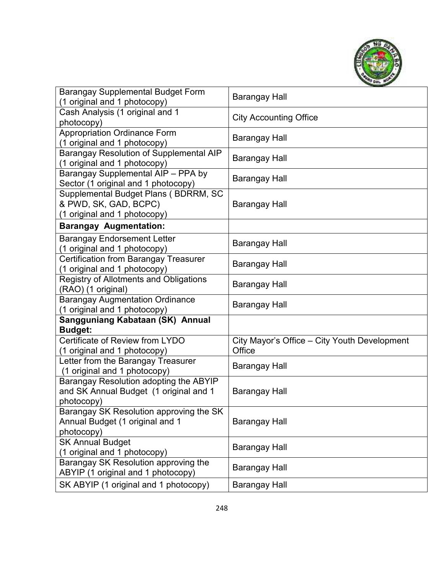

| <b>Barangay Supplemental Budget Form</b><br>(1 original and 1 photocopy)                       | <b>Barangay Hall</b>                                   |
|------------------------------------------------------------------------------------------------|--------------------------------------------------------|
| Cash Analysis (1 original and 1<br>photocopy)                                                  | <b>City Accounting Office</b>                          |
| <b>Appropriation Ordinance Form</b><br>(1 original and 1 photocopy)                            | Barangay Hall                                          |
| Barangay Resolution of Supplemental AIP<br>(1 original and 1 photocopy)                        | <b>Barangay Hall</b>                                   |
| Barangay Supplemental AIP - PPA by<br>Sector (1 original and 1 photocopy)                      | <b>Barangay Hall</b>                                   |
| Supplemental Budget Plans (BDRRM, SC<br>& PWD, SK, GAD, BCPC)<br>(1 original and 1 photocopy)  | <b>Barangay Hall</b>                                   |
| <b>Barangay Augmentation:</b>                                                                  |                                                        |
| <b>Barangay Endorsement Letter</b><br>(1 original and 1 photocopy)                             | <b>Barangay Hall</b>                                   |
| <b>Certification from Barangay Treasurer</b><br>(1 original and 1 photocopy)                   | <b>Barangay Hall</b>                                   |
| <b>Registry of Allotments and Obligations</b><br>(RAO) (1 original)                            | <b>Barangay Hall</b>                                   |
| <b>Barangay Augmentation Ordinance</b><br>(1 original and 1 photocopy)                         | <b>Barangay Hall</b>                                   |
| Sangguniang Kabataan (SK) Annual<br><b>Budget:</b>                                             |                                                        |
| Certificate of Review from LYDO<br>(1 original and 1 photocopy)                                | City Mayor's Office - City Youth Development<br>Office |
| Letter from the Barangay Treasurer<br>(1 original and 1 photocopy)                             | Barangay Hall                                          |
| Barangay Resolution adopting the ABYIP<br>and SK Annual Budget (1 original and 1<br>photocopy) | Barangay Hall                                          |
| Barangay SK Resolution approving the SK<br>Annual Budget (1 original and 1<br>photocopy)       | <b>Barangay Hall</b>                                   |
| <b>SK Annual Budget</b><br>(1 original and 1 photocopy)                                        | Barangay Hall                                          |
| Barangay SK Resolution approving the<br>ABYIP (1 original and 1 photocopy)                     | <b>Barangay Hall</b>                                   |
| SK ABYIP (1 original and 1 photocopy)                                                          | <b>Barangay Hall</b>                                   |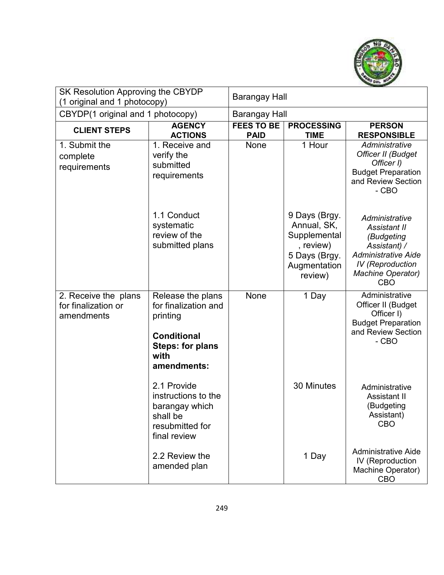

| SK Resolution Approving the CBYDP<br>(1 original and 1 photocopy) |                                                                                                                               | <b>Barangay Hall</b>             |                                                                                                       |                                                                                                                                                                 |  |
|-------------------------------------------------------------------|-------------------------------------------------------------------------------------------------------------------------------|----------------------------------|-------------------------------------------------------------------------------------------------------|-----------------------------------------------------------------------------------------------------------------------------------------------------------------|--|
| CBYDP(1 original and 1 photocopy)                                 |                                                                                                                               | <b>Barangay Hall</b>             |                                                                                                       |                                                                                                                                                                 |  |
| <b>CLIENT STEPS</b>                                               | <b>AGENCY</b><br><b>ACTIONS</b>                                                                                               | <b>FEES TO BE</b><br><b>PAID</b> | <b>PROCESSING</b><br><b>TIME</b>                                                                      | <b>PERSON</b><br><b>RESPONSIBLE</b>                                                                                                                             |  |
| 1. Submit the<br>complete<br>requirements                         | 1. Receive and<br>verify the<br>submitted<br>requirements                                                                     | None                             | 1 Hour                                                                                                | Administrative<br>Officer II (Budget<br>Officer I)<br><b>Budget Preparation</b><br>and Review Section<br>$-CBO$                                                 |  |
|                                                                   | 1.1 Conduct<br>systematic<br>review of the<br>submitted plans                                                                 |                                  | 9 Days (Brgy.<br>Annual, SK,<br>Supplemental<br>, review)<br>5 Days (Brgy.<br>Augmentation<br>review) | Administrative<br>Assistant II<br>(Budgeting<br>Assistant) /<br><b>Administrative Aide</b><br><b>IV</b> (Reproduction<br><b>Machine Operator)</b><br><b>CBO</b> |  |
| 2. Receive the plans<br>for finalization or<br>amendments         | Release the plans<br>for finalization and<br>printing<br><b>Conditional</b><br><b>Steps: for plans</b><br>with<br>amendments: | None                             | 1 Day                                                                                                 | Administrative<br>Officer II (Budget<br>Officer I)<br><b>Budget Preparation</b><br>and Review Section<br>- CBO                                                  |  |
|                                                                   | 2.1 Provide<br>instructions to the<br>barangay which<br>shall be<br>resubmitted for<br>final review                           |                                  | 30 Minutes                                                                                            | Administrative<br><b>Assistant II</b><br>(Budgeting<br>Assistant)<br><b>CBO</b>                                                                                 |  |
|                                                                   | 2.2 Review the<br>amended plan                                                                                                |                                  | 1 Day                                                                                                 | <b>Administrative Aide</b><br>IV (Reproduction<br>Machine Operator)<br><b>CBO</b>                                                                               |  |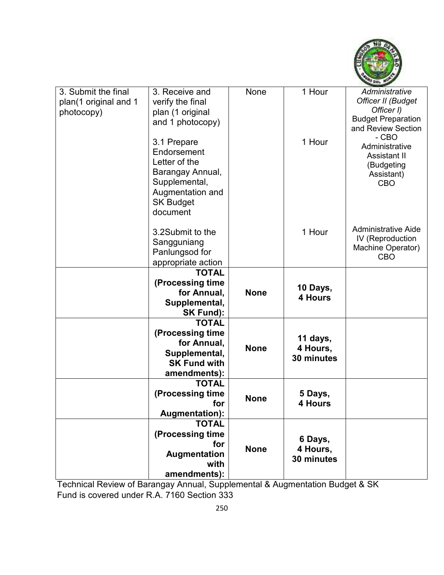

| 3. Submit the final   | 3. Receive and                        | None        | 1 Hour             | Administrative               |
|-----------------------|---------------------------------------|-------------|--------------------|------------------------------|
| plan(1 original and 1 | verify the final                      |             |                    | Officer II (Budget           |
| photocopy)            | plan (1 original                      |             |                    | Officer I)                   |
|                       | and 1 photocopy)                      |             |                    | <b>Budget Preparation</b>    |
|                       |                                       |             |                    | and Review Section<br>$-CBO$ |
|                       | 3.1 Prepare                           |             | 1 Hour             | Administrative               |
|                       | Endorsement                           |             |                    | <b>Assistant II</b>          |
|                       | Letter of the                         |             |                    | (Budgeting                   |
|                       | Barangay Annual,                      |             |                    | Assistant)                   |
|                       | Supplemental,                         |             |                    | <b>CBO</b>                   |
|                       | Augmentation and                      |             |                    |                              |
|                       | <b>SK Budget</b>                      |             |                    |                              |
|                       | document                              |             |                    |                              |
|                       | 3.2Submit to the                      |             |                    | <b>Administrative Aide</b>   |
|                       |                                       |             | 1 Hour             | IV (Reproduction             |
|                       | Sangguniang<br>Panlungsod for         |             |                    | Machine Operator)            |
|                       | appropriate action                    |             |                    | <b>CBO</b>                   |
|                       | <b>TOTAL</b>                          |             |                    |                              |
|                       | (Processing time                      |             |                    |                              |
|                       | for Annual,                           | <b>None</b> | 10 Days,           |                              |
|                       | Supplemental,                         |             | 4 Hours            |                              |
|                       | <b>SK Fund):</b>                      |             |                    |                              |
|                       | <b>TOTAL</b>                          |             |                    |                              |
|                       | (Processing time                      |             | 11 days,           |                              |
|                       | for Annual,                           | <b>None</b> | 4 Hours,           |                              |
|                       | Supplemental,                         |             | 30 minutes         |                              |
|                       | <b>SK Fund with</b>                   |             |                    |                              |
|                       | amendments):                          |             |                    |                              |
|                       | <b>TOTAL</b>                          |             |                    |                              |
|                       | (Processing time                      | <b>None</b> | 5 Days,<br>4 Hours |                              |
|                       | for                                   |             |                    |                              |
|                       | <b>Augmentation):</b><br><b>TOTAL</b> |             |                    |                              |
|                       | (Processing time                      |             |                    |                              |
|                       | for                                   |             | 6 Days,            |                              |
|                       | Augmentation                          | <b>None</b> | 4 Hours,           |                              |
|                       | with                                  |             | 30 minutes         |                              |
|                       | amendments):                          |             |                    |                              |

Technical Review of Barangay Annual, Supplemental & Augmentation Budget & SK Fund is covered under R.A. 7160 Section 333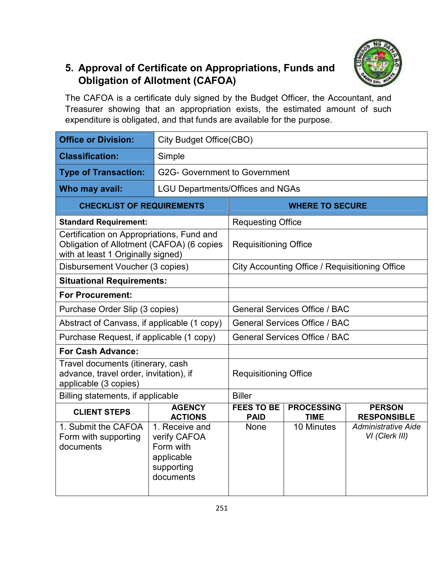#### **5. Approval of Certificate on Appropriations, Funds and Obligation of Allotment (CAFOA)**

The CAFOA is a certificate duly signed by the Budget Officer, the Accountant, and Treasurer showing that an appropriation exists, the estimated amount of such expenditure is obligated, and that funds are available for the purpose.

| <b>Office or Division:</b>                                                                                                   |                                                                                      | <b>City Budget Office(CBO)</b>       |                                                |                                              |  |
|------------------------------------------------------------------------------------------------------------------------------|--------------------------------------------------------------------------------------|--------------------------------------|------------------------------------------------|----------------------------------------------|--|
| <b>Classification:</b>                                                                                                       | Simple                                                                               |                                      |                                                |                                              |  |
| <b>Type of Transaction:</b>                                                                                                  |                                                                                      | G2G- Government to Government        |                                                |                                              |  |
| Who may avail:                                                                                                               | <b>LGU Departments/Offices and NGAs</b>                                              |                                      |                                                |                                              |  |
| <b>CHECKLIST OF REQUIREMENTS</b>                                                                                             |                                                                                      |                                      | <b>WHERE TO SECURE</b>                         |                                              |  |
| <b>Standard Requirement:</b>                                                                                                 |                                                                                      | <b>Requesting Office</b>             |                                                |                                              |  |
| Certification on Appropriations, Fund and<br>Obligation of Allotment (CAFOA) (6 copies<br>with at least 1 Originally signed) |                                                                                      | <b>Requisitioning Office</b>         |                                                |                                              |  |
| Disbursement Voucher (3 copies)                                                                                              |                                                                                      |                                      | City Accounting Office / Requisitioning Office |                                              |  |
|                                                                                                                              | <b>Situational Requirements:</b>                                                     |                                      |                                                |                                              |  |
| <b>For Procurement:</b>                                                                                                      |                                                                                      |                                      |                                                |                                              |  |
|                                                                                                                              | Purchase Order Slip (3 copies)                                                       |                                      | <b>General Services Office / BAC</b>           |                                              |  |
| Abstract of Canvass, if applicable (1 copy)                                                                                  |                                                                                      |                                      | <b>General Services Office / BAC</b>           |                                              |  |
| Purchase Request, if applicable (1 copy)                                                                                     |                                                                                      | <b>General Services Office / BAC</b> |                                                |                                              |  |
| <b>For Cash Advance:</b>                                                                                                     |                                                                                      |                                      |                                                |                                              |  |
| Travel documents (itinerary, cash<br>advance, travel order, invitation), if<br>applicable (3 copies)                         |                                                                                      | <b>Requisitioning Office</b>         |                                                |                                              |  |
| Billing statements, if applicable                                                                                            |                                                                                      | <b>Biller</b>                        |                                                |                                              |  |
| <b>CLIENT STEPS</b>                                                                                                          | <b>AGENCY</b><br><b>ACTIONS</b>                                                      | <b>FEES TO BE</b><br><b>PAID</b>     | <b>PROCESSING</b><br><b>TIME</b>               | <b>PERSON</b><br><b>RESPONSIBLE</b>          |  |
| 1. Submit the CAFOA<br>Form with supporting<br>documents                                                                     | 1. Receive and<br>verify CAFOA<br>Form with<br>applicable<br>supporting<br>documents | <b>None</b>                          | 10 Minutes                                     | <b>Administrative Aide</b><br>VI (Clerk III) |  |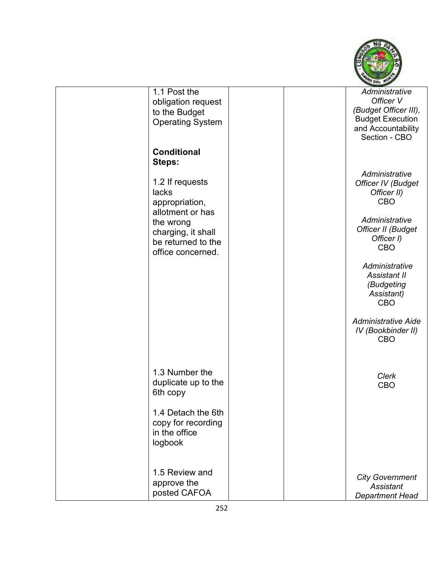

| 1.1 Post the<br>obligation request<br>to the Budget<br><b>Operating System</b>                                                               |  | Administrative<br>Officer V<br>(Budget Officer III),<br><b>Budget Execution</b><br>and Accountability<br>Section - CBO  |
|----------------------------------------------------------------------------------------------------------------------------------------------|--|-------------------------------------------------------------------------------------------------------------------------|
| <b>Conditional</b><br>Steps:                                                                                                                 |  |                                                                                                                         |
| 1.2 If requests<br>lacks<br>appropriation,<br>allotment or has<br>the wrong<br>charging, it shall<br>be returned to the<br>office concerned. |  | Administrative<br>Officer IV (Budget<br>Officer II)<br>CBO<br>Administrative<br>Officer II (Budget<br>Officer I)<br>CBO |
|                                                                                                                                              |  | Administrative<br>Assistant II<br>(Budgeting<br>Assistant)<br><b>CBO</b>                                                |
|                                                                                                                                              |  | <b>Administrative Aide</b><br>IV (Bookbinder II)<br><b>CBO</b>                                                          |
| 1.3 Number the<br>duplicate up to the<br>6th copy                                                                                            |  | Clerk<br>CBO                                                                                                            |
| 1.4 Detach the 6th<br>copy for recording<br>in the office<br>logbook                                                                         |  |                                                                                                                         |
| 1.5 Review and<br>approve the<br>posted CAFOA                                                                                                |  | <b>City Government</b><br>Assistant<br><b>Department Head</b>                                                           |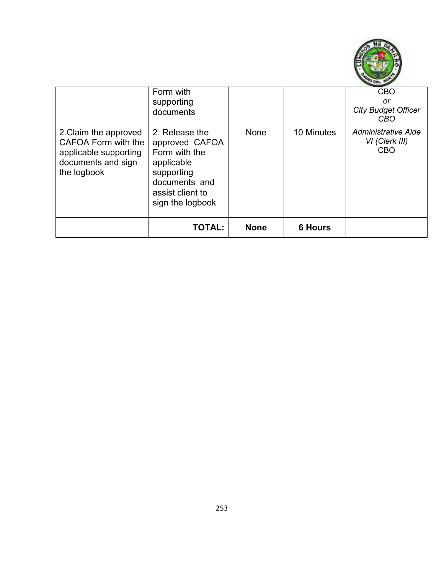

|                                                                                                            | Form with<br>supporting<br>documents                                                                                                   |             |                | <b>CBO</b><br>or<br><b>City Budget Officer</b><br>CBO      |
|------------------------------------------------------------------------------------------------------------|----------------------------------------------------------------------------------------------------------------------------------------|-------------|----------------|------------------------------------------------------------|
| 2. Claim the approved<br>CAFOA Form with the<br>applicable supporting<br>documents and sign<br>the logbook | 2. Release the<br>approved CAFOA<br>Form with the<br>applicable<br>supporting<br>documents and<br>assist client to<br>sign the logbook | None        | 10 Minutes     | <b>Administrative Aide</b><br>VI (Clerk III)<br><b>CBO</b> |
|                                                                                                            | <b>TOTAL:</b>                                                                                                                          | <b>None</b> | <b>6 Hours</b> |                                                            |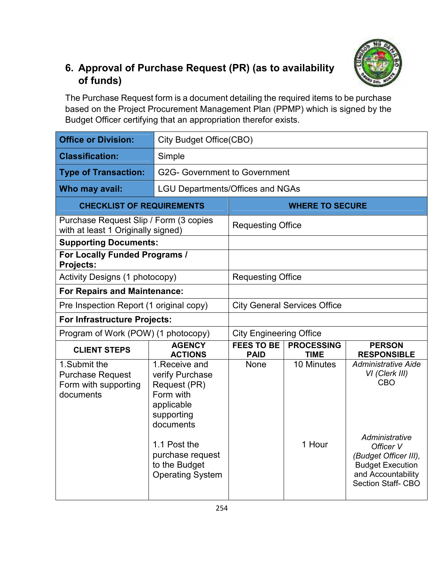

#### **6. Approval of Purchase Request (PR) (as to availability of funds)**

The Purchase Request form is a document detailing the required items to be purchase based on the Project Procurement Management Plan (PPMP) which is signed by the Budget Officer certifying that an appropriation therefor exists.

| <b>Office or Division:</b>                                                   | City Budget Office(CBO)                                                                                                                                                                 |                                     |                                  |                                                                                                                                                                                    |  |  |
|------------------------------------------------------------------------------|-----------------------------------------------------------------------------------------------------------------------------------------------------------------------------------------|-------------------------------------|----------------------------------|------------------------------------------------------------------------------------------------------------------------------------------------------------------------------------|--|--|
| <b>Classification:</b>                                                       | Simple                                                                                                                                                                                  |                                     |                                  |                                                                                                                                                                                    |  |  |
| <b>Type of Transaction:</b>                                                  |                                                                                                                                                                                         | G2G- Government to Government       |                                  |                                                                                                                                                                                    |  |  |
| Who may avail:                                                               | <b>LGU Departments/Offices and NGAs</b>                                                                                                                                                 |                                     |                                  |                                                                                                                                                                                    |  |  |
| <b>CHECKLIST OF REQUIREMENTS</b>                                             |                                                                                                                                                                                         | <b>WHERE TO SECURE</b>              |                                  |                                                                                                                                                                                    |  |  |
| Purchase Request Slip / Form (3 copies<br>with at least 1 Originally signed) |                                                                                                                                                                                         | <b>Requesting Office</b>            |                                  |                                                                                                                                                                                    |  |  |
| <b>Supporting Documents:</b>                                                 |                                                                                                                                                                                         |                                     |                                  |                                                                                                                                                                                    |  |  |
| For Locally Funded Programs /<br><b>Projects:</b>                            |                                                                                                                                                                                         |                                     |                                  |                                                                                                                                                                                    |  |  |
| <b>Activity Designs (1 photocopy)</b>                                        |                                                                                                                                                                                         | <b>Requesting Office</b>            |                                  |                                                                                                                                                                                    |  |  |
| <b>For Repairs and Maintenance:</b>                                          |                                                                                                                                                                                         |                                     |                                  |                                                                                                                                                                                    |  |  |
| Pre Inspection Report (1 original copy)                                      |                                                                                                                                                                                         | <b>City General Services Office</b> |                                  |                                                                                                                                                                                    |  |  |
| <b>For Infrastructure Projects:</b>                                          |                                                                                                                                                                                         |                                     |                                  |                                                                                                                                                                                    |  |  |
| Program of Work (POW) (1 photocopy)                                          |                                                                                                                                                                                         | <b>City Engineering Office</b>      |                                  |                                                                                                                                                                                    |  |  |
| <b>CLIENT STEPS</b>                                                          | <b>AGENCY</b><br><b>ACTIONS</b>                                                                                                                                                         | <b>FEES TO BE</b><br><b>PAID</b>    | <b>PROCESSING</b><br><b>TIME</b> | <b>PERSON</b><br><b>RESPONSIBLE</b>                                                                                                                                                |  |  |
| 1.Submit the<br><b>Purchase Request</b><br>Form with supporting<br>documents | 1. Receive and<br>verify Purchase<br>Request (PR)<br>Form with<br>applicable<br>supporting<br>documents<br>1.1 Post the<br>purchase request<br>to the Budget<br><b>Operating System</b> | None                                | 10 Minutes<br>1 Hour             | <b>Administrative Aide</b><br>VI (Clerk III)<br>CBO<br>Administrative<br>Officer V<br>(Budget Officer III),<br><b>Budget Execution</b><br>and Accountability<br>Section Staff- CBO |  |  |